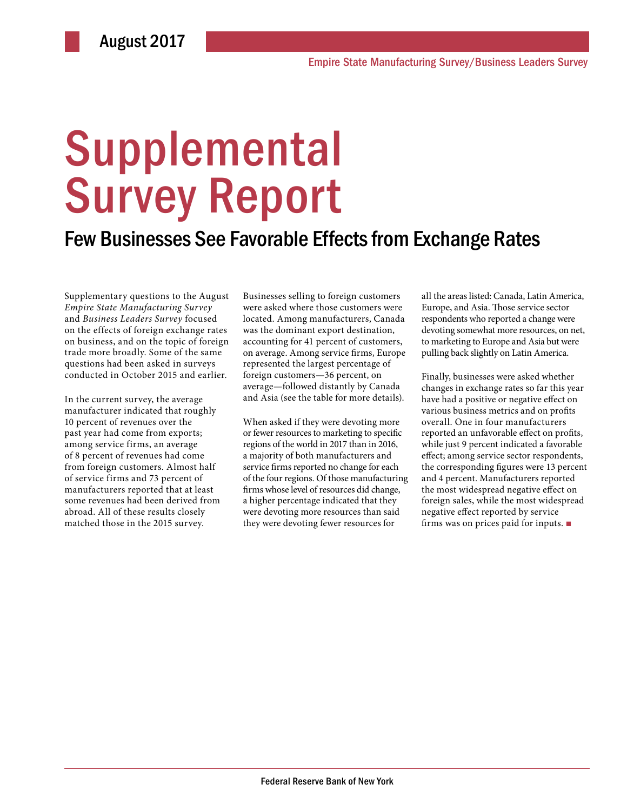# **Supplemental** Survey Report

### Few Businesses See Favorable Effects from Exchange Rates

Supplementary questions to the August *Empire State Manufacturing Survey* and *Business Leaders Survey* focused on the effects of foreign exchange rates on business, and on the topic of foreign trade more broadly. Some of the same questions had been asked in surveys conducted in October 2015 and earlier.

In the current survey, the average manufacturer indicated that roughly 10 percent of revenues over the past year had come from exports; among service firms, an average of 8 percent of revenues had come from foreign customers. Almost half of service firms and 73 percent of manufacturers reported that at least some revenues had been derived from abroad. All of these results closely matched those in the 2015 survey.

Businesses selling to foreign customers were asked where those customers were located. Among manufacturers, Canada was the dominant export destination, accounting for 41 percent of customers, on average. Among service firms, Europe represented the largest percentage of foreign customers—36 percent, on average—followed distantly by Canada and Asia (see the table for more details).

When asked if they were devoting more or fewer resources to marketing to specific regions of the world in 2017 than in 2016, a majority of both manufacturers and service firms reported no change for each of the four regions. Of those manufacturing firms whose level of resources did change, a higher percentage indicated that they were devoting more resources than said they were devoting fewer resources for

all the areas listed: Canada, Latin America, Europe, and Asia. Those service sector respondents who reported a change were devoting somewhat more resources, on net, to marketing to Europe and Asia but were pulling back slightly on Latin America.

Finally, businesses were asked whether changes in exchange rates so far this year have had a positive or negative effect on various business metrics and on profits overall. One in four manufacturers reported an unfavorable effect on profits, while just 9 percent indicated a favorable effect; among service sector respondents, the corresponding figures were 13 percent and 4 percent. Manufacturers reported the most widespread negative effect on foreign sales, while the most widespread negative effect reported by service firms was on prices paid for inputs. ■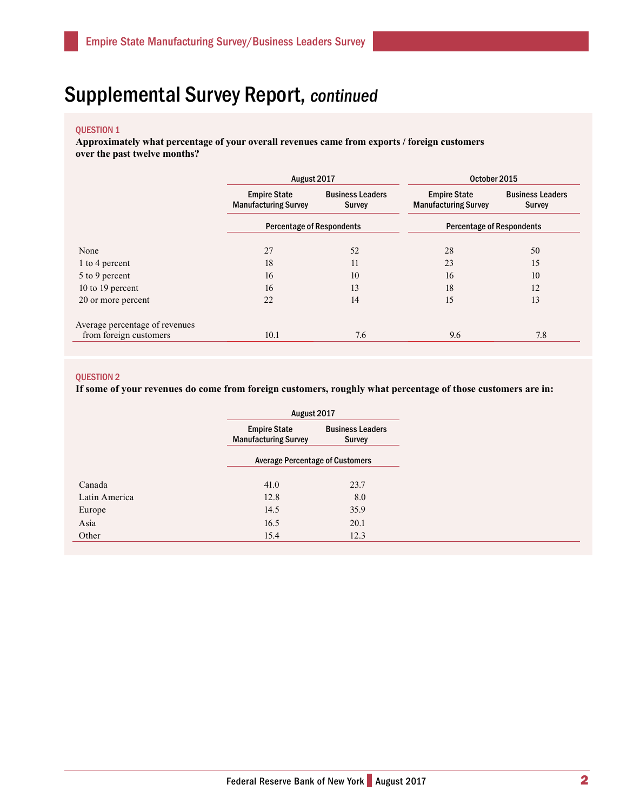## Supplemental Survey Report, continued

#### QUESTION 1

**Approximately what percentage of your overall revenues came from exports / foreign customers over the past twelve months?** 

|                                | August 2017                                        |                                          | October 2015                                       |                                          |
|--------------------------------|----------------------------------------------------|------------------------------------------|----------------------------------------------------|------------------------------------------|
|                                | <b>Empire State</b><br><b>Manufacturing Survey</b> | <b>Business Leaders</b><br><b>Survey</b> | <b>Empire State</b><br><b>Manufacturing Survey</b> | <b>Business Leaders</b><br><b>Survey</b> |
|                                | <b>Percentage of Respondents</b>                   |                                          | <b>Percentage of Respondents</b>                   |                                          |
| None                           | 27                                                 | 52                                       | 28                                                 | 50                                       |
| 1 to 4 percent                 | 18                                                 | 11                                       | 23                                                 | 15                                       |
| 5 to 9 percent                 | 16                                                 | 10                                       | 16                                                 | 10                                       |
| 10 to 19 percent               | 16                                                 | 13                                       | 18                                                 | 12                                       |
| 20 or more percent             | 22                                                 | 14                                       | 15                                                 | 13                                       |
| Average percentage of revenues |                                                    |                                          |                                                    |                                          |
| from foreign customers         | 10.1                                               | 7.6                                      | 9.6                                                | 7.8                                      |

#### QUESTION 2

**If some of your revenues do come from foreign customers, roughly what percentage of those customers are in:**

|               |                                                    | August 2017                            |  |
|---------------|----------------------------------------------------|----------------------------------------|--|
|               | <b>Empire State</b><br><b>Manufacturing Survey</b> | <b>Business Leaders</b><br>Survey      |  |
|               |                                                    | <b>Average Percentage of Customers</b> |  |
| Canada        | 41.0                                               | 23.7                                   |  |
| Latin America | 12.8                                               | 8.0                                    |  |
| Europe        | 14.5                                               | 35.9                                   |  |
| Asia          | 16.5                                               | 20.1                                   |  |
| Other         | 15.4                                               | 12.3                                   |  |